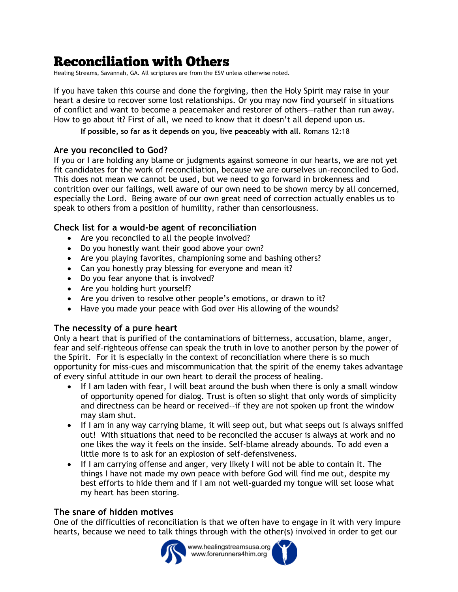# **Reconciliation with Others**

Healing Streams, Savannah, GA. All scriptures are from the ESV unless otherwise noted.

If you have taken this course and done the forgiving, then the Holy Spirit may raise in your heart a desire to recover some lost relationships. Or you may now find yourself in situations of conflict and want to become a peacemaker and restorer of others—rather than run away. How to go about it? First of all, we need to know that it doesn't all depend upon us.

**If possible, so far as it depends on you, live peaceably with all.** Romans 12:18

## **Are you reconciled to God?**

If you or I are holding any blame or judgments against someone in our hearts, we are not yet fit candidates for the work of reconciliation, because we are ourselves un-reconciled to God. This does not mean we cannot be used, but we need to go forward in brokenness and contrition over our failings, well aware of our own need to be shown mercy by all concerned, especially the Lord. Being aware of our own great need of correction actually enables us to speak to others from a position of humility, rather than censoriousness.

# **Check list for a would-be agent of reconciliation**

- Are you reconciled to all the people involved?
- Do you honestly want their good above your own?
- Are you playing favorites, championing some and bashing others?
- Can you honestly pray blessing for everyone and mean it?
- Do you fear anyone that is involved?
- Are you holding hurt yourself?
- Are you driven to resolve other people's emotions, or drawn to it?
- Have you made your peace with God over His allowing of the wounds?

## **The necessity of a pure heart**

Only a heart that is purified of the contaminations of bitterness, accusation, blame, anger, fear and self-righteous offense can speak the truth in love to another person by the power of the Spirit. For it is especially in the context of reconciliation where there is so much opportunity for miss-cues and miscommunication that the spirit of the enemy takes advantage of every sinful attitude in our own heart to derail the process of healing.

- If I am laden with fear, I will beat around the bush when there is only a small window of opportunity opened for dialog. Trust is often so slight that only words of simplicity and directness can be heard or received--if they are not spoken up front the window may slam shut.
- If I am in any way carrying blame, it will seep out, but what seeps out is always sniffed out! With situations that need to be reconciled the accuser is always at work and no one likes the way it feels on the inside. Self-blame already abounds. To add even a little more is to ask for an explosion of self-defensiveness.
- If I am carrying offense and anger, very likely I will not be able to contain it. The things I have not made my own peace with before God will find me out, despite my best efforts to hide them and if I am not well-guarded my tongue will set loose what my heart has been storing.

## **The snare of hidden motives**

One of the difficulties of reconciliation is that we often have to engage in it with very impure hearts, because we need to talk things through with the other(s) involved in order to get our



www.healingstreamsusa.org www.forerunners4him.org

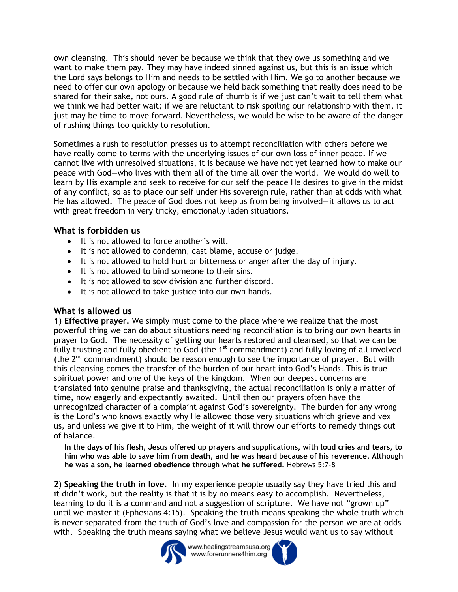own cleansing. This should never be because we think that they owe us something and we want to make them pay. They may have indeed sinned against us, but this is an issue which the Lord says belongs to Him and needs to be settled with Him. We go to another because we need to offer our own apology or because we held back something that really does need to be shared for their sake, not ours. A good rule of thumb is if we just can't wait to tell them what we think we had better wait; if we are reluctant to risk spoiling our relationship with them, it just may be time to move forward. Nevertheless, we would be wise to be aware of the danger of rushing things too quickly to resolution.

Sometimes a rush to resolution presses us to attempt reconciliation with others before we have really come to terms with the underlying issues of our own loss of inner peace. If we cannot live with unresolved situations, it is because we have not yet learned how to make our peace with God—who lives with them all of the time all over the world. We would do well to learn by His example and seek to receive for our self the peace He desires to give in the midst of any conflict, so as to place our self under His sovereign rule, rather than at odds with what He has allowed. The peace of God does not keep us from being involved—it allows us to act with great freedom in very tricky, emotionally laden situations.

# **What is forbidden us**

- It is not allowed to force another's will.
- It is not allowed to condemn, cast blame, accuse or judge.
- It is not allowed to hold hurt or bitterness or anger after the day of injury.
- It is not allowed to bind someone to their sins.
- It is not allowed to sow division and further discord.
- It is not allowed to take justice into our own hands.

## **What is allowed us**

**1) Effective prayer.** We simply must come to the place where we realize that the most powerful thing we can do about situations needing reconciliation is to bring our own hearts in prayer to God. The necessity of getting our hearts restored and cleansed, so that we can be fully trusting and fully obedient to God (the 1<sup>st</sup> commandment) and fully loving of all involved (the  $2<sup>nd</sup>$  commandment) should be reason enough to see the importance of prayer. But with this cleansing comes the transfer of the burden of our heart into God's Hands. This is true spiritual power and one of the keys of the kingdom. When our deepest concerns are translated into genuine praise and thanksgiving, the actual reconciliation is only a matter of time, now eagerly and expectantly awaited. Until then our prayers often have the unrecognized character of a complaint against God's sovereignty. The burden for any wrong is the Lord's who knows exactly why He allowed those very situations which grieve and vex us, and unless we give it to Him, the weight of it will throw our efforts to remedy things out of balance.

**In the days of his flesh, Jesus offered up prayers and supplications, with loud cries and tears, to him who was able to save him from death, and he was heard because of his reverence. Although he was a son, he learned obedience through what he suffered.** Hebrews 5:7-8

**2) Speaking the truth in love.** In my experience people usually say they have tried this and it didn't work, but the reality is that it is by no means easy to accomplish. Nevertheless, learning to do it is a command and not a suggestion of scripture. We have not "grown up" until we master it (Ephesians 4:15). Speaking the truth means speaking the whole truth which is never separated from the truth of God's love and compassion for the person we are at odds with. Speaking the truth means saying what we believe Jesus would want us to say without



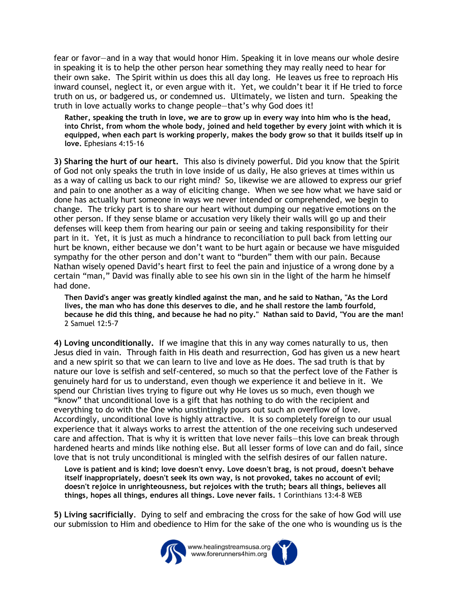fear or favor—and in a way that would honor Him. Speaking it in love means our whole desire in speaking it is to help the other person hear something they may really need to hear for their own sake. The Spirit within us does this all day long. He leaves us free to reproach His inward counsel, neglect it, or even argue with it. Yet, we couldn't bear it if He tried to force truth on us, or badgered us, or condemned us. Ultimately, we listen and turn. Speaking the truth in love actually works to change people—that's why God does it!

**Rather, speaking the truth in love, we are to grow up in every way into him who is the head, into Christ, from whom the whole body, joined and held together by every joint with which it is equipped, when each part is working properly, makes the body grow so that it builds itself up in love.** Ephesians 4:15-16

**3) Sharing the hurt of our heart.** This also is divinely powerful. Did you know that the Spirit of God not only speaks the truth in love inside of us daily, He also grieves at times within us as a way of calling us back to our right mind? So, likewise we are allowed to express our grief and pain to one another as a way of eliciting change. When we see how what we have said or done has actually hurt someone in ways we never intended or comprehended, we begin to change. The tricky part is to share our heart without dumping our negative emotions on the other person. If they sense blame or accusation very likely their walls will go up and their defenses will keep them from hearing our pain or seeing and taking responsibility for their part in it. Yet, it is just as much a hindrance to reconciliation to pull back from letting our hurt be known, either because we don't want to be hurt again or because we have misguided sympathy for the other person and don't want to "burden" them with our pain. Because Nathan wisely opened David's heart first to feel the pain and injustice of a wrong done by a certain "man," David was finally able to see his own sin in the light of the harm he himself had done.

**Then David's anger was greatly kindled against the man, and he said to Nathan, "As the Lord lives, the man who has done this deserves to die, and he shall restore the lamb fourfold, because he did this thing, and because he had no pity." Nathan said to David, "You are the man!**  2 Samuel 12:5-7

**4) Loving unconditionally.** If we imagine that this in any way comes naturally to us, then Jesus died in vain. Through faith in His death and resurrection, God has given us a new heart and a new spirit so that we can learn to live and love as He does. The sad truth is that by nature our love is selfish and self-centered, so much so that the perfect love of the Father is genuinely hard for us to understand, even though we experience it and believe in it. We spend our Christian lives trying to figure out why He loves us so much, even though we "know" that unconditional love is a gift that has nothing to do with the recipient and everything to do with the One who unstintingly pours out such an overflow of love. Accordingly, unconditional love is highly attractive. It is so completely foreign to our usual experience that it always works to arrest the attention of the one receiving such undeserved care and affection. That is why it is written that love never fails—this love can break through hardened hearts and minds like nothing else. But all lesser forms of love can and do fail, since love that is not truly unconditional is mingled with the selfish desires of our fallen nature.

**Love is patient and is kind; love doesn't envy. Love doesn't brag, is not proud, doesn't behave itself inappropriately, doesn't seek its own way, is not provoked, takes no account of evil; doesn't rejoice in unrighteousness, but rejoices with the truth; bears all things, believes all things, hopes all things, endures all things. Love never fails.** 1 Corinthians 13:4-8 WEB

**5) Living sacrificially**. Dying to self and embracing the cross for the sake of how God will use our submission to Him and obedience to Him for the sake of the one who is wounding us is the

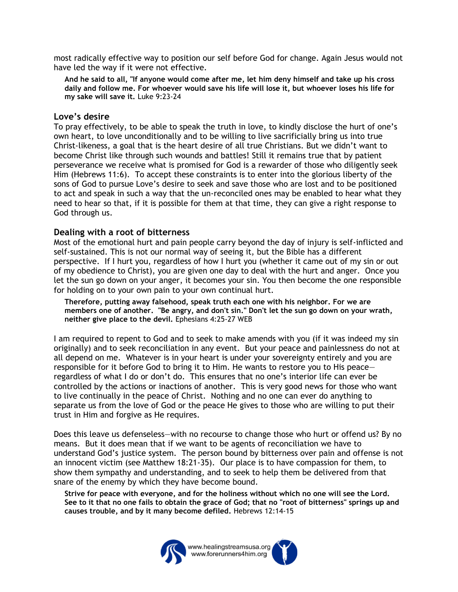most radically effective way to position our self before God for change. Again Jesus would not have led the way if it were not effective.

**And he said to all, "If anyone would come after me, let him deny himself and take up his cross daily and follow me. For whoever would save his life will lose it, but whoever loses his life for my sake will save it.** Luke 9:23-24

#### **Love's desire**

To pray effectively, to be able to speak the truth in love, to kindly disclose the hurt of one's own heart, to love unconditionally and to be willing to live sacrificially bring us into true Christ-likeness, a goal that is the heart desire of all true Christians. But we didn't want to become Christ like through such wounds and battles! Still it remains true that by patient perseverance we receive what is promised for God is a rewarder of those who diligently seek Him (Hebrews 11:6). To accept these constraints is to enter into the glorious liberty of the sons of God to pursue Love's desire to seek and save those who are lost and to be positioned to act and speak in such a way that the un-reconciled ones may be enabled to hear what they need to hear so that, if it is possible for them at that time, they can give a right response to God through us.

#### **Dealing with a root of bitterness**

Most of the emotional hurt and pain people carry beyond the day of injury is self-inflicted and self-sustained. This is not our normal way of seeing it, but the Bible has a different perspective. If I hurt you, regardless of how I hurt you (whether it came out of my sin or out of my obedience to Christ), you are given one day to deal with the hurt and anger. Once you let the sun go down on your anger, it becomes your sin. You then become the one responsible for holding on to your own pain to your own continual hurt.

**Therefore, putting away falsehood, speak truth each one with his neighbor. For we are members one of another. "Be angry, and don't sin." Don't let the sun go down on your wrath, neither give place to the devil.** Ephesians 4:25-27 WEB

I am required to repent to God and to seek to make amends with you (if it was indeed my sin originally) and to seek reconciliation in any event. But your peace and painlessness do not at all depend on me. Whatever is in your heart is under your sovereignty entirely and you are responsible for it before God to bring it to Him. He wants to restore you to His peace regardless of what I do or don't do. This ensures that no one's interior life can ever be controlled by the actions or inactions of another. This is very good news for those who want to live continually in the peace of Christ. Nothing and no one can ever do anything to separate us from the love of God or the peace He gives to those who are willing to put their trust in Him and forgive as He requires.

Does this leave us defenseless—with no recourse to change those who hurt or offend us? By no means. But it does mean that if we want to be agents of reconciliation we have to understand God's justice system. The person bound by bitterness over pain and offense is not an innocent victim (see Matthew 18:21-35). Our place is to have compassion for them, to show them sympathy and understanding, and to seek to help them be delivered from that snare of the enemy by which they have become bound.

**Strive for peace with everyone, and for the holiness without which no one will see the Lord. See to it that no one fails to obtain the grace of God; that no "root of bitterness" springs up and causes trouble, and by it many become defiled.** Hebrews 12:14-15